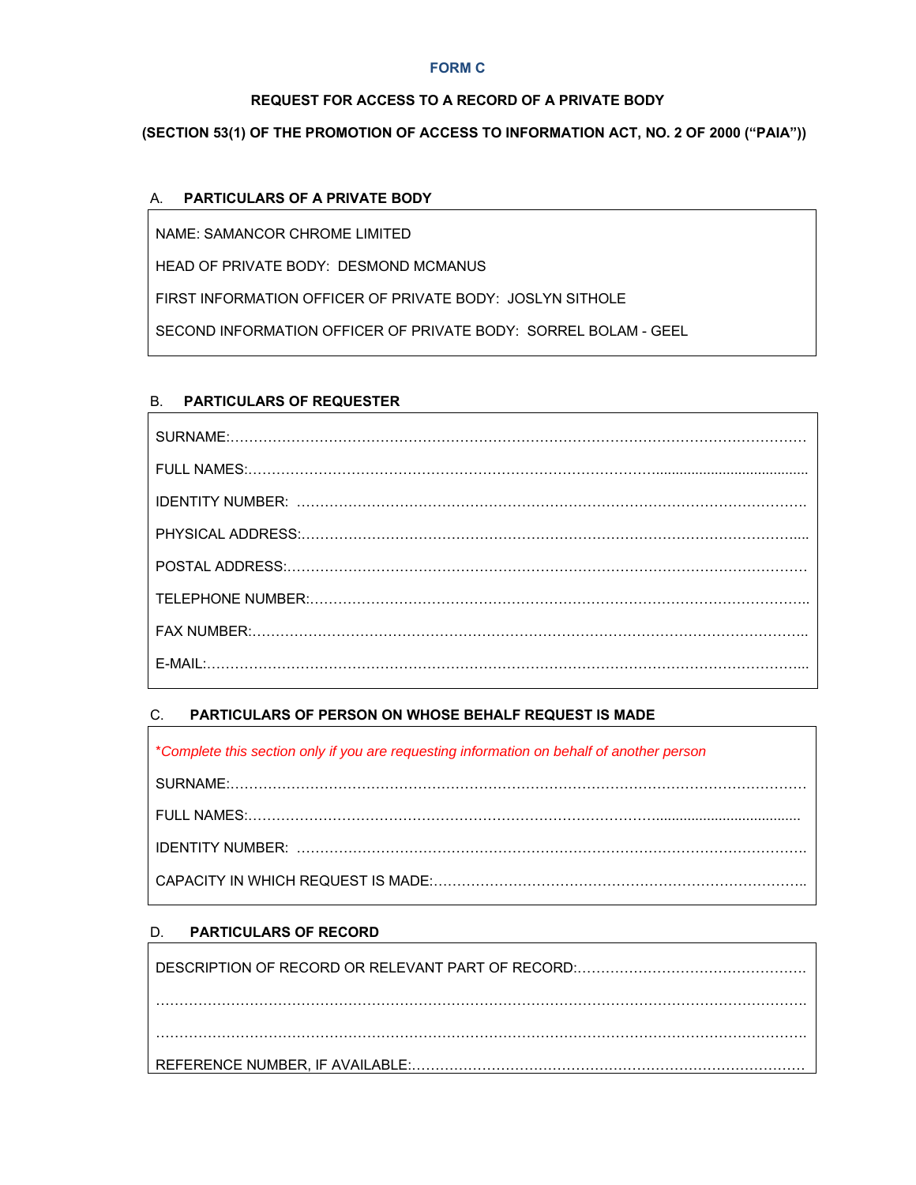#### **FORM C**

#### **REQUEST FOR ACCESS TO A RECORD OF A PRIVATE BODY**

# **(SECTION 53(1) OF THE PROMOTION OF ACCESS TO INFORMATION ACT, NO. 2 OF 2000 ("PAIA"))**

#### A. **PARTICULARS OF A PRIVATE BODY**

NAME: SAMANCOR CHROME LIMITED

HEAD OF PRIVATE BODY: DESMOND MCMANUS

FIRST INFORMATION OFFICER OF PRIVATE BODY: JOSLYN SITHOLE

SECOND INFORMATION OFFICER OF PRIVATE BODY: SORREL BOLAM - GEEL

# B. **PARTICULARS OF REQUESTER**

# C. **PARTICULARS OF PERSON ON WHOSE BEHALF REQUEST IS MADE**

| *Complete this section only if you are requesting information on behalf of another person |  |  |
|-------------------------------------------------------------------------------------------|--|--|
|                                                                                           |  |  |
|                                                                                           |  |  |
|                                                                                           |  |  |
|                                                                                           |  |  |

# D. **PARTICULARS OF RECORD**

 $\Gamma$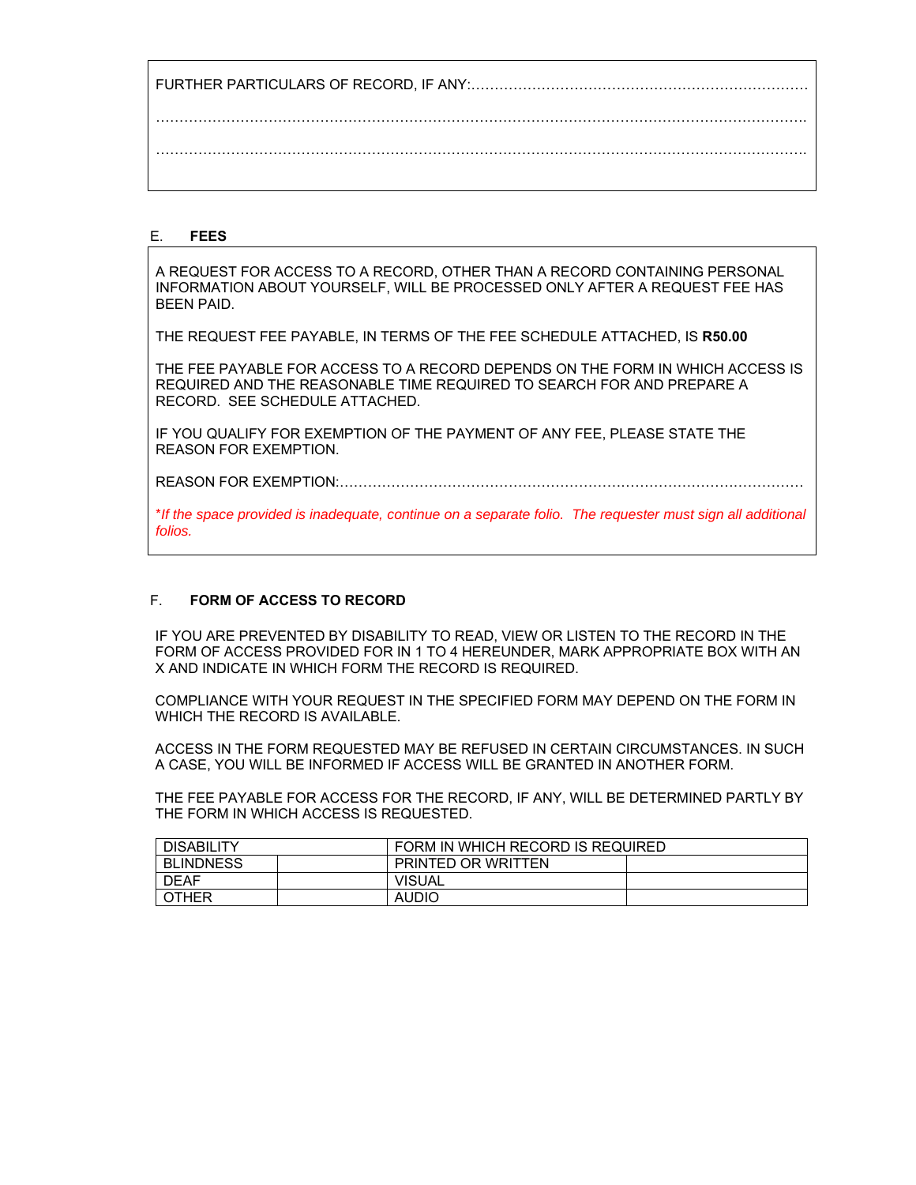FURTHER PARTICULARS OF RECORD, IF ANY:……………………………………………………………… …………………………………………………………………………………………………………………………. ………………………………………………………………………………………………………………………….

#### E. **FEES**

A REQUEST FOR ACCESS TO A RECORD, OTHER THAN A RECORD CONTAINING PERSONAL INFORMATION ABOUT YOURSELF, WILL BE PROCESSED ONLY AFTER A REQUEST FEE HAS BEEN PAID.

THE REQUEST FEE PAYABLE, IN TERMS OF THE FEE SCHEDULE ATTACHED, IS **R50.00**

THE FEE PAYABLE FOR ACCESS TO A RECORD DEPENDS ON THE FORM IN WHICH ACCESS IS REQUIRED AND THE REASONABLE TIME REQUIRED TO SEARCH FOR AND PREPARE A RECORD. SEE SCHEDULE ATTACHED.

IF YOU QUALIFY FOR EXEMPTION OF THE PAYMENT OF ANY FEE, PLEASE STATE THE REASON FOR EXEMPTION.

REASON FOR EXEMPTION:………………………………………………………………………………………

\**If the space provided is inadequate, continue on a separate folio. The requester must sign all additional folios.* 

#### F. **FORM OF ACCESS TO RECORD**

IF YOU ARE PREVENTED BY DISABILITY TO READ, VIEW OR LISTEN TO THE RECORD IN THE FORM OF ACCESS PROVIDED FOR IN 1 TO 4 HEREUNDER, MARK APPROPRIATE BOX WITH AN X AND INDICATE IN WHICH FORM THE RECORD IS REQUIRED.

COMPLIANCE WITH YOUR REQUEST IN THE SPECIFIED FORM MAY DEPEND ON THE FORM IN WHICH THE RECORD IS AVAILABLE.

ACCESS IN THE FORM REQUESTED MAY BE REFUSED IN CERTAIN CIRCUMSTANCES. IN SUCH A CASE, YOU WILL BE INFORMED IF ACCESS WILL BE GRANTED IN ANOTHER FORM.

THE FEE PAYABLE FOR ACCESS FOR THE RECORD, IF ANY, WILL BE DETERMINED PARTLY BY THE FORM IN WHICH ACCESS IS REQUESTED.

| <b>DISABILITY</b> |  | FORM IN WHICH RECORD IS REQUIRED |  |  |
|-------------------|--|----------------------------------|--|--|
| <b>BLINDNESS</b>  |  | <b>PRINTED OR WRITTEN</b>        |  |  |
| <b>DEAF</b>       |  | <b>VISUAL</b>                    |  |  |
| OTHER             |  | <b>AUDIO</b>                     |  |  |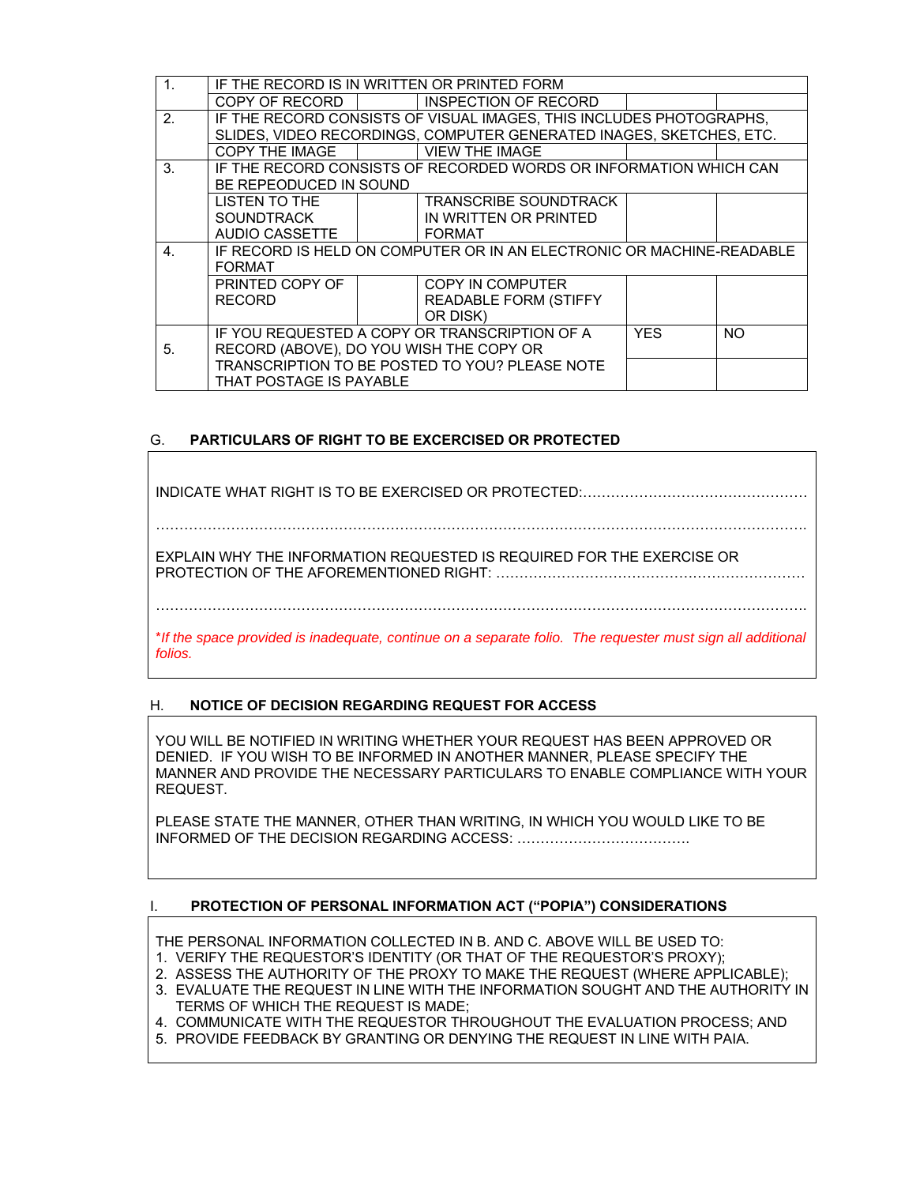|                | IF THE RECORD IS IN WRITTEN OR PRINTED FORM                                               |  |                                                                     |            |     |
|----------------|-------------------------------------------------------------------------------------------|--|---------------------------------------------------------------------|------------|-----|
|                | COPY OF RECORD I                                                                          |  | INSPECTION OF RECORD                                                |            |     |
| 2.             |                                                                                           |  | IF THE RECORD CONSISTS OF VISUAL IMAGES, THIS INCLUDES PHOTOGRAPHS, |            |     |
|                | SLIDES, VIDEO RECORDINGS, COMPUTER GENERATED INAGES, SKETCHES, ETC.                       |  |                                                                     |            |     |
|                | COPY THE IMAGE                                                                            |  | <b>VIEW THE IMAGE</b>                                               |            |     |
| 3.             | IF THE RECORD CONSISTS OF RECORDED WORDS OR INFORMATION WHICH CAN                         |  |                                                                     |            |     |
|                | BE REPEODUCED IN SOUND                                                                    |  |                                                                     |            |     |
|                | LISTEN TO THE                                                                             |  | TRANSCRIBE SOUNDTRACK                                               |            |     |
|                | <b>SOUNDTRACK</b>                                                                         |  | IN WRITTEN OR PRINTED                                               |            |     |
|                | AUDIO CASSETTE                                                                            |  | <b>FORMAT</b>                                                       |            |     |
| 4 <sub>1</sub> | IF RECORD IS HELD ON COMPUTER OR IN AN ELECTRONIC OR MACHINE-READABLE                     |  |                                                                     |            |     |
|                | <b>FORMAT</b>                                                                             |  |                                                                     |            |     |
|                | PRINTED COPY OF                                                                           |  | COPY IN COMPUTER                                                    |            |     |
|                | <b>RECORD</b>                                                                             |  | <b>READABLE FORM (STIFFY</b>                                        |            |     |
|                |                                                                                           |  | OR DISK)                                                            |            |     |
|                |                                                                                           |  | IF YOU REQUESTED A COPY OR TRANSCRIPTION OF A                       | <b>YES</b> | NO. |
| 5.             | RECORD (ABOVE), DO YOU WISH THE COPY OR<br>TRANSCRIPTION TO BE POSTED TO YOU? PLEASE NOTE |  |                                                                     |            |     |
|                |                                                                                           |  |                                                                     |            |     |
|                | THAT POSTAGE IS PAYABLE                                                                   |  |                                                                     |            |     |

# G. **PARTICULARS OF RIGHT TO BE EXCERCISED OR PROTECTED**

INDICATE WHAT RIGHT IS TO BE EXERCISED OR PROTECTED:………………………………………… EXPLAIN WHY THE INFORMATION REQUESTED IS REQUIRED FOR THE EXERCISE OR PROTECTION OF THE AFOREMENTIONED RIGHT: ………………………………………………………… ………………………………………………………………………………………………………………………….

\**If the space provided is inadequate, continue on a separate folio. The requester must sign all additional folios.*

# H. **NOTICE OF DECISION REGARDING REQUEST FOR ACCESS**

YOU WILL BE NOTIFIED IN WRITING WHETHER YOUR REQUEST HAS BEEN APPROVED OR DENIED. IF YOU WISH TO BE INFORMED IN ANOTHER MANNER, PLEASE SPECIFY THE MANNER AND PROVIDE THE NECESSARY PARTICULARS TO ENABLE COMPLIANCE WITH YOUR REQUEST.

PLEASE STATE THE MANNER, OTHER THAN WRITING, IN WHICH YOU WOULD LIKE TO BE INFORMED OF THE DECISION REGARDING ACCESS: ……………………………….

# I. **PROTECTION OF PERSONAL INFORMATION ACT ("POPIA") CONSIDERATIONS**

THE PERSONAL INFORMATION COLLECTED IN B. AND C. ABOVE WILL BE USED TO:

- 1. VERIFY THE REQUESTOR'S IDENTITY (OR THAT OF THE REQUESTOR'S PROXY);
- 2. ASSESS THE AUTHORITY OF THE PROXY TO MAKE THE REQUEST (WHERE APPLICABLE);
- 3. EVALUATE THE REQUEST IN LINE WITH THE INFORMATION SOUGHT AND THE AUTHORITY IN TERMS OF WHICH THE REQUEST IS MADE;

4. COMMUNICATE WITH THE REQUESTOR THROUGHOUT THE EVALUATION PROCESS; AND

5. PROVIDE FEEDBACK BY GRANTING OR DENYING THE REQUEST IN LINE WITH PAIA.